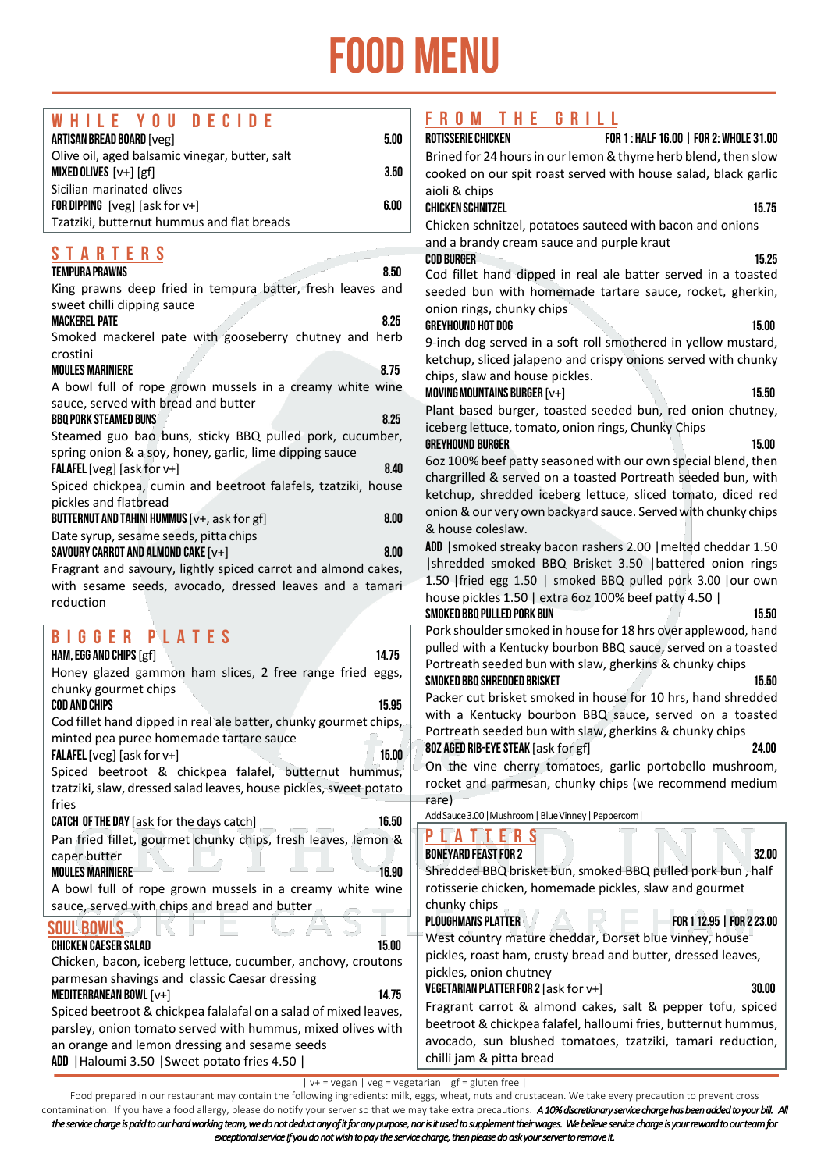## food menu

| <b>DECIDE</b><br>WHILE YOU                                                                    | FROM THE GRILL                                                                                                               |
|-----------------------------------------------------------------------------------------------|------------------------------------------------------------------------------------------------------------------------------|
| <b>ARTISAN BREAD BOARD [veg]</b><br>5.00                                                      | ROTISSERIE CHICKEN<br>FOR 1: HALF 16.00   FOR 2: WHOLE 31.00                                                                 |
| Olive oil, aged balsamic vinegar, butter, salt                                                | Brined for 24 hours in our lemon & thyme herb blend, then slow                                                               |
| <b>MIXED OLIVES</b> $[v+]$ [gf]<br>3.50                                                       | cooked on our spit roast served with house salad, black garlic                                                               |
| Sicilian marinated olives<br>6.00                                                             | aioli & chips                                                                                                                |
| <b>FOR DIPPING</b> [ $veg$ ] [ask for $v+$ ]<br>Tzatziki, butternut hummus and flat breads    | <b>CHICKEN SCHNITZEL</b><br>15.75                                                                                            |
|                                                                                               | Chicken schnitzel, potatoes sauteed with bacon and onions                                                                    |
| <b>STARTERS</b>                                                                               | and a brandy cream sauce and purple kraut<br><b>COD BURGER</b>                                                               |
| <b>TEMPURA PRAWNS</b><br>8.50                                                                 | 15.25                                                                                                                        |
| King prawns deep fried in tempura batter, fresh leaves and                                    | Cod fillet hand dipped in real ale batter served in a toasted<br>seeded bun with homemade tartare sauce, rocket, gherkin,    |
| sweet chilli dipping sauce                                                                    | onion rings, chunky chips                                                                                                    |
| 8.25<br><b>MACKEREL PATE</b>                                                                  | <b>GREYHOUND HOT DOG</b><br>15.00                                                                                            |
| Smoked mackerel pate with gooseberry chutney and herb                                         | 9-inch dog served in a soft roll smothered in yellow mustard,                                                                |
| crostini                                                                                      | ketchup, sliced jalapeno and crispy onions served with chunky                                                                |
| <b>MOULES MARINIERE</b><br>8.75                                                               | chips, slaw and house pickles.                                                                                               |
| A bowl full of rope grown mussels in a creamy white wine                                      | MOVING MOUNTAINS BURGER [v+]<br>15.50                                                                                        |
| sauce, served with bread and butter                                                           | Plant based burger, toasted seeded bun, red onion chutney,                                                                   |
| 8.25<br><b>BBQ PORK STEAMED BUNS</b>                                                          | iceberg lettuce, tomato, onion rings, Chunky Chips                                                                           |
| Steamed guo bao buns, sticky BBQ pulled pork, cucumber,                                       | <b>GREYHOUND BURGER</b><br>15.00                                                                                             |
| spring onion & a soy, honey, garlic, lime dipping sauce                                       | 6oz 100% beef patty seasoned with our own special blend, then                                                                |
| 8.40<br><b>FALAFEL</b> [ $veg$ ] [ask for $v+$ ]                                              | chargrilled & served on a toasted Portreath seeded bun, with                                                                 |
| Spiced chickpea, cumin and beetroot falafels, tzatziki, house                                 | ketchup, shredded iceberg lettuce, sliced tomato, diced red                                                                  |
| pickles and flatbread                                                                         | onion & our very own backyard sauce. Served with chunky chips                                                                |
| 8.00<br>BUTTERNUT AND TAHINI HUMMUS [v+, ask for gf]                                          | & house coleslaw.                                                                                                            |
| Date syrup, sesame seeds, pitta chips<br>8.00<br>SAVOURY CARROT AND ALMOND CAKE $[v+]$        | ADD   smoked streaky bacon rashers 2.00   melted cheddar 1.50                                                                |
| Fragrant and savoury, lightly spiced carrot and almond cakes,                                 | shredded smoked BBQ Brisket 3.50   battered onion rings                                                                      |
| with sesame seeds, avocado, dressed leaves and a tamari                                       | 1.50   fried egg 1.50   smoked BBQ pulled pork 3.00   our own                                                                |
| reduction                                                                                     | house pickles 1.50   extra 6oz 100% beef patty 4.50                                                                          |
|                                                                                               | SMOKED BBQ PULLED PORK BUN<br>15.50                                                                                          |
| <b>BIGGER PLATES</b>                                                                          | Pork shoulder smoked in house for 18 hrs over applewood, hand                                                                |
| 14.75<br>HAM, EGG AND CHIPS [gf]                                                              | pulled with a Kentucky bourbon BBQ sauce, served on a toasted                                                                |
| Honey glazed gammon ham slices, 2 free range fried<br>eggs,                                   | Portreath seeded bun with slaw, gherkins & chunky chips                                                                      |
|                                                                                               |                                                                                                                              |
| chunky gourmet chips                                                                          | SMOKED BBQ SHREDDED BRISKET<br>15.50                                                                                         |
| <b>COD AND CHIPS</b><br>15.95                                                                 | Packer cut brisket smoked in house for 10 hrs, hand shredded                                                                 |
| Cod fillet hand dipped in real ale batter, chunky gourmet chips,                              | with a Kentucky bourbon BBQ sauce, served on a toasted                                                                       |
| minted pea puree homemade tartare sauce                                                       | Portreath seeded bun with slaw, gherkins & chunky chips                                                                      |
| 15.00<br><b>FALAFEL</b> [ $veg$ ] [ask for $v+$ ]                                             | 80Z AGED RIB-EYE STEAK [ask for gf]<br>24.00                                                                                 |
| Spiced beetroot & chickpea falafel, butternut hummus,                                         | On the vine cherry tomatoes, garlic portobello mushroom,                                                                     |
| tzatziki, slaw, dressed salad leaves, house pickles, sweet potato                             | rocket and parmesan, chunky chips (we recommend medium                                                                       |
| fries                                                                                         | rare)                                                                                                                        |
| CATCH OF THE DAY [ask for the days catch]<br>16.50                                            | Add Sauce 3.00   Mushroom   Blue Vinney   Peppercorn                                                                         |
| Pan fried fillet, gourmet chunky chips, fresh leaves, lemon &                                 | <b>THERS</b><br>$\mathbf{A}$                                                                                                 |
| caper butter                                                                                  | <b>BONEYARD FEAST FOR 2</b><br>32.00                                                                                         |
| <b>MOULES MARINIERE®</b><br>16.90                                                             | Shredded BBQ brisket bun, smoked BBQ pulled pork bun, half                                                                   |
| A bowl full of rope grown mussels in a creamy white wine                                      | rotisserie chicken, homemade pickles, slaw and gourmet                                                                       |
| sauce, served with chips and bread and butter                                                 | chunky chips                                                                                                                 |
| <b>SOUL BOWLS</b>                                                                             | <b>PLOUGHMANS PLATTER</b><br>FOR 1 12.95   FOR 2 23.00                                                                       |
| <b>CHICKEN CAESER SALAD</b><br>15.00                                                          | West country mature cheddar, Dorset blue vinney, house                                                                       |
| Chicken, bacon, iceberg lettuce, cucumber, anchovy, croutons                                  | pickles, roast ham, crusty bread and butter, dressed leaves,<br>pickles, onion chutney                                       |
| parmesan shavings and classic Caesar dressing                                                 | VEGETARIAN PLATTER FOR 2 [ask for v+]<br>30.00                                                                               |
| 14.75<br><b>MEDITERRANEAN BOWL [v+]</b>                                                       |                                                                                                                              |
| Spiced beetroot & chickpea falalafal on a salad of mixed leaves,                              | Fragrant carrot & almond cakes, salt & pepper tofu, spiced<br>beetroot & chickpea falafel, halloumi fries, butternut hummus, |
| parsley, onion tomato served with hummus, mixed olives with                                   | avocado, sun blushed tomatoes, tzatziki, tamari reduction,                                                                   |
| an orange and lemon dressing and sesame seeds<br>ADD   Haloumi 3.50   Sweet potato fries 4.50 | chilli jam & pitta bread                                                                                                     |

| v+ = vegan | veg = vegetarian | gf = gluten free |

Food prepared in our restaurant may contain the following ingredients: milk, eggs, wheat, nuts and crustacean. We take every precaution to prevent cross contamination. If you have a food allergy, please do notify your server so that we may take extra precautions. *A 10% discretionary service charge has been added to your bill. All the service charge is paid to our hard working team, we do not deduct any of it for any purpose, nor is it used to supplement their wages. We believe service charge is your reward to our team for exceptional service If you do not wish to pay the service charge, then please do ask your server to remove it.*